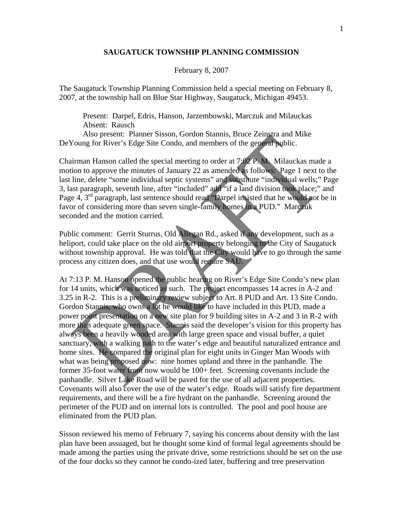## **SAUGATUCK TOWNSHIP PLANNING COMMISSION**

## February 8, 2007

The Saugatuck Township Planning Commission held a special meeting on February 8, 2007, at the township hall on Blue Star Highway, Saugatuck, Michigan 49453.

 Present: Darpel, Edris, Hanson, Jarzembowski, Marczuk and Milauckas Absent: Rausch

 Also present: Planner Sisson, Gordon Stannis, Bruce Zeinstra and Mike DeYoung for River's Edge Site Condo, and members of the general public.

Chairman Hanson called the special meeting to order at 7:02 P. M. Milauckas made a motion to approve the minutes of January 22 as amended as follows: Page 1 next to the last line, delete "some individual septic systems" and substitute "individual wells;" Page 3, last paragraph, seventh line, after "included" add "if a land division took place;" and Page 4, 3<sup>rd</sup> paragraph, last sentence should read "Darpel insisted that he would not be in favor of considering more than seven single-family homes in a PUD." Marczuk seconded and the motion carried.

Public comment: Gerrit Sturrus, Old Allegan Rd., asked if any development, such as a heliport, could take place on the old airport property belonging to the City of Saugatuck without township approval. He was told that the City would have to go through the same process any citizen does, and that use would require SAU.

At 7:13 P. M. Hanson opened the public hearing on River's Edge Site Condo's new plan for 14 units, which was noticed as such. The project encompasses 14 acres in A-2 and 3.25 in R-2. This is a preliminary review subject to Art. 8 PUD and Art. 13 Site Condo. Gordon Stannis, who owns a lot he would like to have included in this PUD, made a power point presentation on a new site plan for 9 building sites in A-2 and 3 in R-2 with more than adequate green space. Stannis said the developer's vision for this property has always been a heavily wooded area with large green space and visual buffer, a quiet sanctuary, with a walking path to the water's edge and beautiful naturalized entrance and home sites. He compared the original plan for eight units in Ginger Man Woods with what was being proposed now: nine homes upland and three in the panhandle. The former 35-foot water front now would be 100+ feet. Screening covenants include the panhandle. Silver Lake Road will be paved for the use of all adjacent properties. Covenants will also cover the use of the water's edge. Roads will satisfy fire department requirements, and there will be a fire hydrant on the panhandle. Screening around the perimeter of the PUD and on internal lots is controlled. The pool and pool house are eliminated from the PUD plan.

Sisson reviewed his memo of February 7, saying his concerns about density with the last plan have been assuaged, but he thought some kind of formal legal agreements should be made among the parties using the private drive, some restrictions should be set on the use of the four docks so they cannot be condo-ized later, buffering and tree preservation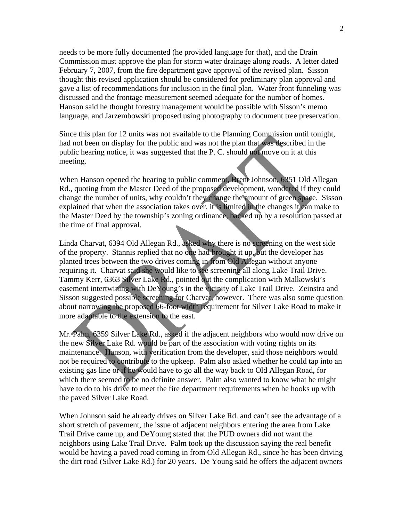needs to be more fully documented (he provided language for that), and the Drain Commission must approve the plan for storm water drainage along roads. A letter dated February 7, 2007, from the fire department gave approval of the revised plan. Sisson thought this revised application should be considered for preliminary plan approval and gave a list of recommendations for inclusion in the final plan. Water front funneling was discussed and the frontage measurement seemed adequate for the number of homes. Hanson said he thought forestry management would be possible with Sisson's memo language, and Jarzembowski proposed using photography to document tree preservation.

Since this plan for 12 units was not available to the Planning Commission until tonight, had not been on display for the public and was not the plan that was described in the public hearing notice, it was suggested that the P. C. should not move on it at this meeting.

When Hanson opened the hearing to public comment, Brent Johnson, 6351 Old Allegan Rd., quoting from the Master Deed of the proposed development, wondered if they could change the number of units, why couldn't they change the amount of green space. Sisson explained that when the association takes over, it is limited in the changes it can make to the Master Deed by the township's zoning ordinance, backed up by a resolution passed at the time of final approval.

Linda Charvat, 6394 Old Allegan Rd., asked why there is no screening on the west side of the property. Stannis replied that no one had brought it up, but the developer has planted trees between the two drives coming in from Old Allegan without anyone requiring it. Charvat said she would like to see screening all along Lake Trail Drive. Tammy Kerr, 6363 Silver Lake Rd., pointed out the complication with Malkowski's easement intertwining with DeYoung's in the vicinity of Lake Trail Drive. Zeinstra and Sisson suggested possible screening for Charvat, however. There was also some question about narrowing the proposed 66-foot width requirement for Silver Lake Road to make it more adaptable to the extension to the east.

Mr. Palm, 6359 Silver Lake Rd., asked if the adjacent neighbors who would now drive on the new Silver Lake Rd. would be part of the association with voting rights on its maintenance. Hanson, with verification from the developer, said those neighbors would not be required to contribute to the upkeep. Palm also asked whether he could tap into an existing gas line or if he would have to go all the way back to Old Allegan Road, for which there seemed to be no definite answer. Palm also wanted to know what he might have to do to his drive to meet the fire department requirements when he hooks up with the paved Silver Lake Road.

When Johnson said he already drives on Silver Lake Rd. and can't see the advantage of a short stretch of pavement, the issue of adjacent neighbors entering the area from Lake Trail Drive came up, and DeYoung stated that the PUD owners did not want the neighbors using Lake Trail Drive. Palm took up the discussion saying the real benefit would be having a paved road coming in from Old Allegan Rd., since he has been driving the dirt road (Silver Lake Rd.) for 20 years. De Young said he offers the adjacent owners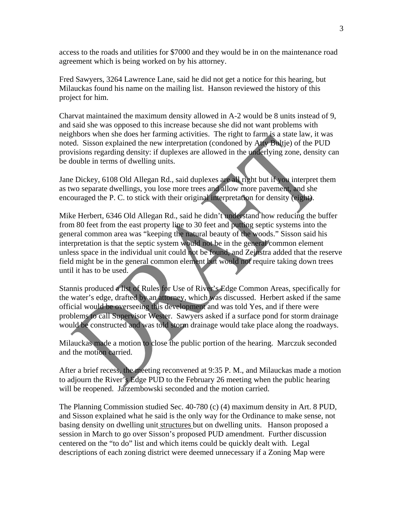access to the roads and utilities for \$7000 and they would be in on the maintenance road agreement which is being worked on by his attorney.

Fred Sawyers, 3264 Lawrence Lane, said he did not get a notice for this hearing, but Milauckas found his name on the mailing list. Hanson reviewed the history of this project for him.

Charvat maintained the maximum density allowed in A-2 would be 8 units instead of 9, and said she was opposed to this increase because she did not want problems with neighbors when she does her farming activities. The right to farm is a state law, it was noted. Sisson explained the new interpretation (condoned by Atty Bultje) of the PUD provisions regarding density: if duplexes are allowed in the underlying zone, density can be double in terms of dwelling units.

Jane Dickey, 6108 Old Allegan Rd., said duplexes are all right but if you interpret them as two separate dwellings, you lose more trees and allow more pavement, and she encouraged the P. C. to stick with their original interpretation for density (eight).

Mike Herbert, 6346 Old Allegan Rd., said he didn't understand how reducing the buffer from 80 feet from the east property line to 30 feet and putting septic systems into the general common area was "keeping the natural beauty of the woods." Sisson said his interpretation is that the septic system would not be in the general common element unless space in the individual unit could not be found, and Zeinstra added that the reserve field might be in the general common element but would not require taking down trees until it has to be used.

Stannis produced a list of Rules for Use of River's Edge Common Areas, specifically for the water's edge, drafted by an attorney, which was discussed. Herbert asked if the same official would be overseeing this development and was told Yes, and if there were problems to call Supervisor Wester. Sawyers asked if a surface pond for storm drainage would be constructed and was told storm drainage would take place along the roadways.

Milauckas made a motion to close the public portion of the hearing. Marczuk seconded and the motion carried.

After a brief recess, the meeting reconvened at 9:35 P. M., and Milauckas made a motion to adjourn the River's Edge PUD to the February 26 meeting when the public hearing will be reopened. Jarzembowski seconded and the motion carried.

The Planning Commission studied Sec. 40-780 (c) (4) maximum density in Art. 8 PUD, and Sisson explained what he said is the only way for the Ordinance to make sense, not basing density on dwelling unit structures but on dwelling units. Hanson proposed a session in March to go over Sisson's proposed PUD amendment. Further discussion centered on the "to do" list and which items could be quickly dealt with. Legal descriptions of each zoning district were deemed unnecessary if a Zoning Map were